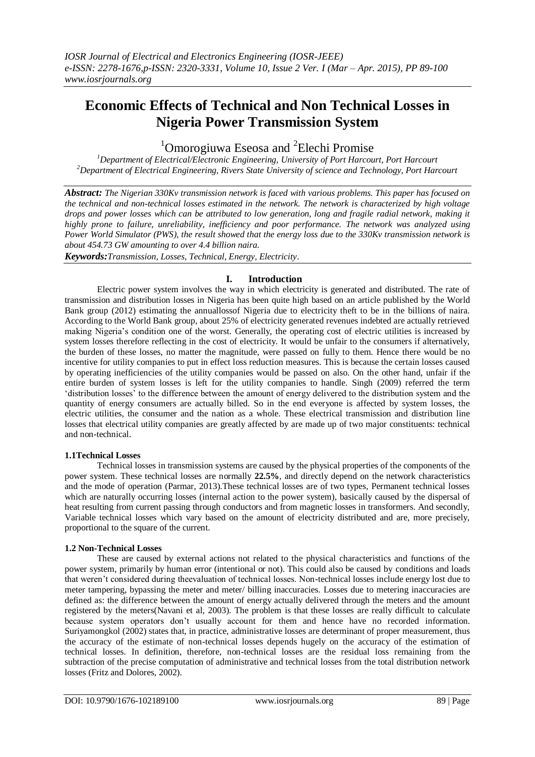# **Economic Effects of Technical and Non Technical Losses in Nigeria Power Transmission System**

## <sup>1</sup>Omorogiuwa Eseosa and <sup>2</sup>Elechi Promise

*<sup>1</sup>Department of Electrical/Electronic Engineering, University of Port Harcourt, Port Harcourt <sup>2</sup>Department of Electrical Engineering, Rivers State University of science and Technology, Port Harcourt*

*Abstract: The Nigerian 330Kv transmission network is faced with various problems. This paper has focused on the technical and non-technical losses estimated in the network. The network is characterized by high voltage drops and power losses which can be attributed to low generation, long and fragile radial network, making it highly prone to failure, unreliability, inefficiency and poor performance. The network was analyzed using Power World Simulator (PWS), the result showed that the energy loss due to the 330Kv transmission network is about 454.73 GW amounting to over 4.4 billion naira.*

*Keywords:Transmission, Losses, Technical, Energy, Electricity*.

## **I. Introduction**

Electric power system involves the way in which electricity is generated and distributed. The rate of transmission and distribution losses in Nigeria has been quite high based on an article published by the World Bank group (2012) estimating the annuallossof Nigeria due to electricity theft to be in the billions of naira. According to the World Bank group, about 25% of electricity generated revenues indebted are actually retrieved making Nigeria"s condition one of the worst. Generally, the operating cost of electric utilities is increased by system losses therefore reflecting in the cost of electricity. It would be unfair to the consumers if alternatively, the burden of these losses, no matter the magnitude, were passed on fully to them. Hence there would be no incentive for utility companies to put in effect loss reduction measures. This is because the certain losses caused by operating inefficiencies of the utility companies would be passed on also. On the other hand, unfair if the entire burden of system losses is left for the utility companies to handle. Singh (2009) referred the term "distribution losses" to the difference between the amount of energy delivered to the distribution system and the quantity of energy consumers are actually billed. So in the end everyone is affected by system losses, the electric utilities, the consumer and the nation as a whole. These electrical transmission and distribution line losses that electrical utility companies are greatly affected by are made up of two major constituents: technical and non-technical.

## **1.1Technical Losses**

Technical losses in transmission systems are caused by the physical properties of the components of the power system. These technical losses are normally **22.5%**, and directly depend on the network characteristics and the mode of operation (Parmar, 2013).These technical losses are of two types, Permanent technical losses which are naturally occurring losses (internal action to the power system), basically caused by the dispersal of heat resulting from current passing through conductors and from magnetic losses in transformers. And secondly, Variable technical losses which vary based on the amount of electricity distributed and are, more precisely, proportional to the square of the current.

## **1.2 Non-Technical Losses**

These are caused by external actions not related to the physical characteristics and functions of the power system, primarily by human error (intentional or not). This could also be caused by conditions and loads that weren"t considered during theevaluation of technical losses. Non-technical losses include energy lost due to meter tampering, bypassing the meter and meter/ billing inaccuracies. Losses due to metering inaccuracies are defined as: the difference between the amount of energy actually delivered through the meters and the amount registered by the meters(Navani et al, 2003). The problem is that these losses are really difficult to calculate because system operators don"t usually account for them and hence have no recorded information. Suriyamongkol (2002) states that, in practice, administrative losses are determinant of proper measurement, thus the accuracy of the estimate of non-technical losses depends hugely on the accuracy of the estimation of technical losses. In definition, therefore, non-technical losses are the residual loss remaining from the subtraction of the precise computation of administrative and technical losses from the total distribution network losses (Fritz and Dolores, 2002).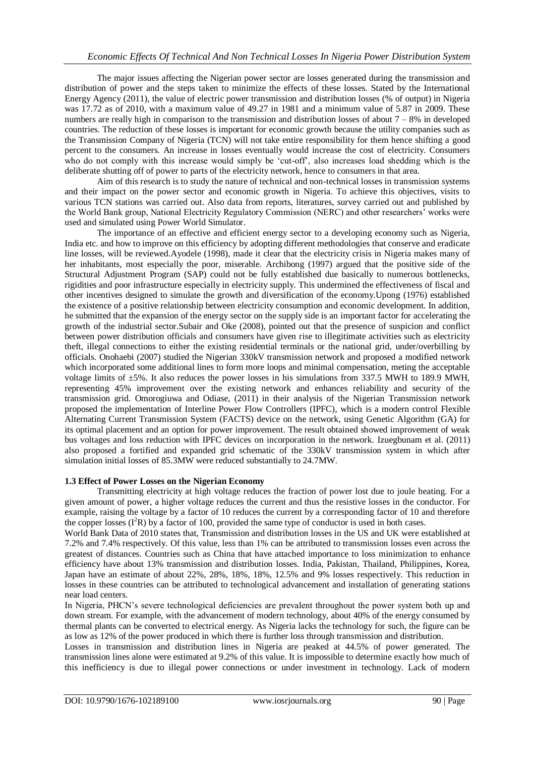The major issues affecting the Nigerian power sector are losses generated during the transmission and distribution of power and the steps taken to minimize the effects of these losses. Stated by the International Energy Agency (2011), the value of electric power transmission and distribution losses (% of output) in Nigeria was 17.72 as of 2010, with a maximum value of 49.27 in 1981 and a minimum value of 5.87 in 2009. These numbers are really high in comparison to the transmission and distribution losses of about  $7 - 8\%$  in developed countries. The reduction of these losses is important for economic growth because the utility companies such as the Transmission Company of Nigeria (TCN) will not take entire responsibility for them hence shifting a good percent to the consumers. An increase in losses eventually would increase the cost of electricity. Consumers who do not comply with this increase would simply be 'cut-off', also increases load shedding which is the deliberate shutting off of power to parts of the electricity network, hence to consumers in that area.

Aim of this research is to study the nature of technical and non-technical losses in transmission systems and their impact on the power sector and economic growth in Nigeria. To achieve this objectives, visits to various TCN stations was carried out. Also data from reports, literatures, survey carried out and published by the World Bank group, National Electricity Regulatory Commission (NERC) and other researchers" works were used and simulated using Power World Simulator.

The importance of an effective and efficient energy sector to a developing economy such as Nigeria, India etc. and how to improve on this efficiency by adopting different methodologies that conserve and eradicate line losses, will be reviewed.Ayodele (1998), made it clear that the electricity crisis in Nigeria makes many of her inhabitants, most especially the poor, miserable. Archibong (1997) argued that the positive side of the Structural Adjustment Program (SAP) could not be fully established due basically to numerous bottlenecks, rigidities and poor infrastructure especially in electricity supply. This undermined the effectiveness of fiscal and other incentives designed to simulate the growth and diversification of the economy.Upong (1976) established the existence of a positive relationship between electricity consumption and economic development. In addition, he submitted that the expansion of the energy sector on the supply side is an important factor for accelerating the growth of the industrial sector.Subair and Oke (2008), pointed out that the presence of suspicion and conflict between power distribution officials and consumers have given rise to illegitimate activities such as electricity theft, illegal connections to either the existing residential terminals or the national grid, under/overbilling by officials. Onohaebi (2007) studied the Nigerian 330kV transmission network and proposed a modified network which incorporated some additional lines to form more loops and minimal compensation, meting the acceptable voltage limits of ±5%. It also reduces the power losses in his simulations from 337.5 MWH to 189.9 MWH, representing 45% improvement over the existing network and enhances reliability and security of the transmission grid. Omorogiuwa and Odiase, (2011) in their analysis of the Nigerian Transmission network proposed the implementation of Interline Power Flow Controllers (IPFC), which is a modern control Flexible Alternating Current Transmission System (FACTS) device on the network, using Genetic Algorithm (GA) for its optimal placement and an option for power improvement. The result obtained showed improvement of weak bus voltages and loss reduction with IPFC devices on incorporation in the network. Izuegbunam et al. (2011) also proposed a fortified and expanded grid schematic of the 330kV transmission system in which after simulation initial losses of 85.3MW were reduced substantially to 24.7MW.

## **1.3 Effect of Power Losses on the Nigerian Economy**

Transmitting electricity at high voltage reduces the fraction of power lost due to joule heating. For a given amount of power, a higher voltage reduces the current and thus the resistive losses in the conductor. For example, raising the voltage by a factor of 10 reduces the current by a corresponding factor of 10 and therefore the copper losses  $(I^{2}R)$  by a factor of 100, provided the same type of conductor is used in both cases.

World Bank Data of 2010 states that, Transmission and distribution losses in the US and UK were established at 7.2% and 7.4% respectively. Of this value, less than 1% can be attributed to transmission losses even across the greatest of distances. Countries such as China that have attached importance to loss minimization to enhance efficiency have about 13% transmission and distribution losses. India, Pakistan, Thailand, Philippines, Korea, Japan have an estimate of about 22%, 28%, 18%, 18%, 12.5% and 9% losses respectively. This reduction in losses in these countries can be attributed to technological advancement and installation of generating stations near load centers.

In Nigeria, PHCN"s severe technological deficiencies are prevalent throughout the power system both up and down stream. For example, with the advancement of modern technology, about 40% of the energy consumed by thermal plants can be converted to electrical energy. As Nigeria lacks the technology for such, the figure can be as low as 12% of the power produced in which there is further loss through transmission and distribution.

Losses in transmission and distribution lines in Nigeria are peaked at 44.5% of power generated. The transmission lines alone were estimated at 9.2% of this value. It is impossible to determine exactly how much of this inefficiency is due to illegal power connections or under investment in technology. Lack of modern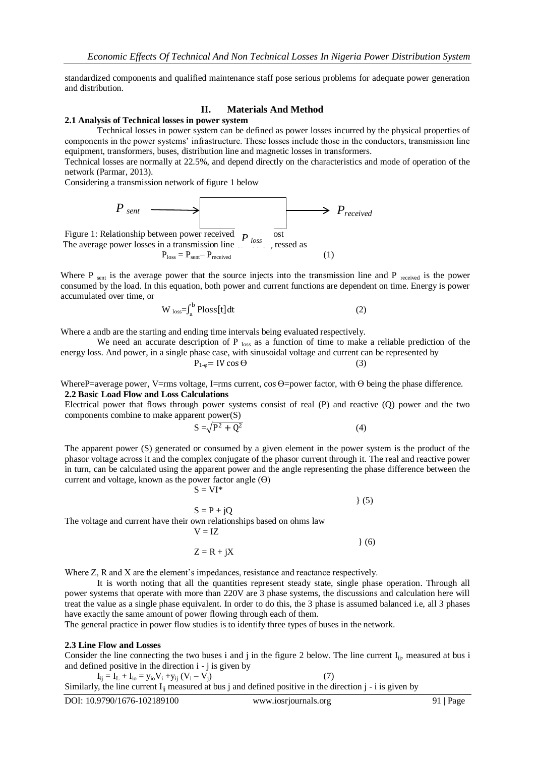standardized components and qualified maintenance staff pose serious problems for adequate power generation and distribution.

### **II. Materials And Method**

#### **2.1 Analysis of Technical losses in power system**

Technical losses in power system can be defined as power losses incurred by the physical properties of components in the power systems" infrastructure. These losses include those in the conductors, transmission line equipment, transformers, buses, distribution line and magnetic losses in transformers.

Technical losses are normally at 22.5%, and depend directly on the characteristics and mode of operation of the network (Parmar, 2013).

Considering a transmission network of figure 1 below

| $P_{sent}$                                      | $P_{cent}$ | $P_{received}$ |
|-------------------------------------------------|------------|----------------|
| Figure 1: Relationship between power received   | $P_{loss}$ | Post           |
| The average power losses in a transmission line | $P_{loss}$ | ressed as      |
| $P_{loss} = P_{sent} - P_{received}$            | (1)        |                |

Where  $P_{sent}$  is the average power that the source injects into the transmission line and  $P_{received}$  is the power consumed by the load. In this equation, both power and current functions are dependent on time. Energy is power accumulated over time, or

$$
W_{loss} = \int_{a}^{b} Ploss[t]dt
$$
 (2)

Where a andb are the starting and ending time intervals being evaluated respectively.

We need an accurate description of P  $_{loss}$  as a function of time to make a reliable prediction of the energy loss. And power, in a single phase case, with sinusoidal voltage and current can be represented by

$$
P_{1-\varphi} = IV \cos \Theta \tag{3}
$$

WhereP=average power, V=rms voltage, I=rms current,  $\cos \theta$ =power factor, with  $\theta$  being the phase difference. **2.2 Basic Load Flow and Loss Calculations**

Electrical power that flows through power systems consist of real (P) and reactive (Q) power and the two components combine to make apparent power(S)

$$
S = \sqrt{P^2 + Q^2} \tag{4}
$$

The apparent power (S) generated or consumed by a given element in the power system is the product of the phasor voltage across it and the complex conjugate of the phasor current through it. The real and reactive power in turn, can be calculated using the apparent power and the angle representing the phase difference between the current and voltage, known as the power factor angle  $(\Theta)$ 

$$
S = VI^*
$$
 (5)

 $S = P + jQ$ The voltage and current have their own relationships based on ohms law  $V = IZ$ 

$$
Z = R + iX
$$
 (6)

Where Z, R and X are the element's impedances, resistance and reactance respectively.

It is worth noting that all the quantities represent steady state, single phase operation. Through all power systems that operate with more than 220V are 3 phase systems, the discussions and calculation here will treat the value as a single phase equivalent. In order to do this, the 3 phase is assumed balanced i.e, all 3 phases have exactly the same amount of power flowing through each of them.

The general practice in power flow studies is to identify three types of buses in the network.

#### **2.3 Line Flow and Losses**

Consider the line connecting the two buses i and j in the figure 2 below. The line current  $I_{ii}$ , measured at bus i and defined positive in the direction i - j is given by

$$
I_{ij} = I_L + I_{io} = y_{io}V_i + y_{ij} (V_i - V_j)
$$
\n(7)

Similarly, the line current  $I_{ij}$  measured at bus j and defined positive in the direction j - i is given by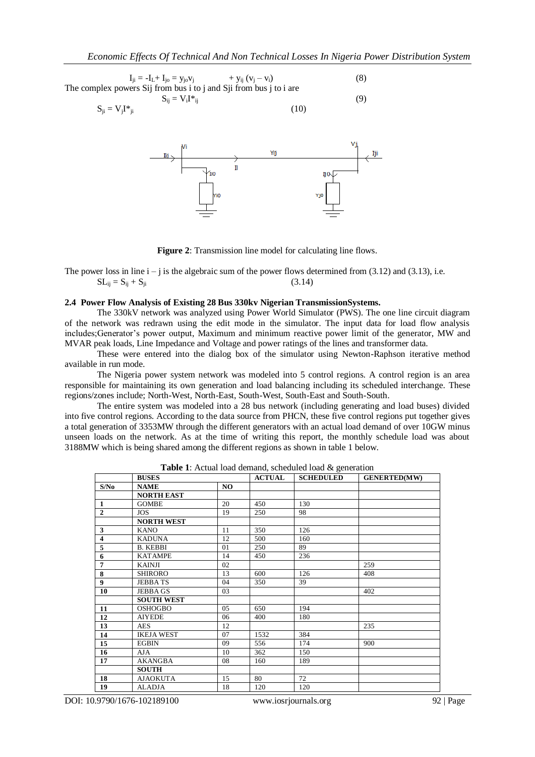$$
I_{ji} = -I_{L} + I_{jo} = y_{jo}v_{j} + y_{ij}(v_{j} - v_{i})
$$
\nThe complex powers Sij from bus i to j and Sji from bus j to i are\n
$$
S_{ij} = V_{i}I^{*}{}_{ij}
$$
\n(9)\n
$$
S_{ji} = V_{j}I^{*}{}_{ji}
$$
\n(10)



**Figure 2**: Transmission line model for calculating line flows.

The power loss in line  $i - j$  is the algebraic sum of the power flows determined from (3.12) and (3.13), i.e.  $SL_{ii} = S_{ij} + S_{ji}$  (3.14)

#### **2.4 Power Flow Analysis of Existing 28 Bus 330kv Nigerian TransmissionSystems.**

The 330kV network was analyzed using Power World Simulator (PWS). The one line circuit diagram of the network was redrawn using the edit mode in the simulator. The input data for load flow analysis includes;Generator"s power output, Maximum and minimum reactive power limit of the generator, MW and MVAR peak loads, Line Impedance and Voltage and power ratings of the lines and transformer data.

These were entered into the dialog box of the simulator using Newton-Raphson iterative method available in run mode.

The Nigeria power system network was modeled into 5 control regions. A control region is an area responsible for maintaining its own generation and load balancing including its scheduled interchange. These regions/zones include; North-West, North-East, South-West, South-East and South-South.

The entire system was modeled into a 28 bus network (including generating and load buses) divided into five control regions. According to the data source from PHCN, these five control regions put together gives a total generation of 3353MW through the different generators with an actual load demand of over 10GW minus unseen loads on the network. As at the time of writing this report, the monthly schedule load was about 3188MW which is being shared among the different regions as shown in table 1 below.

|                | <b>BUSES</b>      |     | <b>ACTUAL</b> | <b>SCHEDULED</b> | <b>GENERTED(MW)</b> |
|----------------|-------------------|-----|---------------|------------------|---------------------|
| S/No           | <b>NAME</b>       | NO. |               |                  |                     |
|                | <b>NORTH EAST</b> |     |               |                  |                     |
| $\mathbf{1}$   | <b>GOMBE</b>      | 20  | 450           | 130              |                     |
| $\overline{2}$ | <b>JOS</b>        | 19  | 250           | 98               |                     |
|                | <b>NORTH WEST</b> |     |               |                  |                     |
| 3              | <b>KANO</b>       | 11  | 350           | 126              |                     |
| 4              | <b>KADUNA</b>     | 12  | 500           | 160              |                     |
| 5              | <b>B. KEBBI</b>   | 01  | 250           | 89               |                     |
| 6              | <b>KATAMPE</b>    | 14  | 450           | 236              |                     |
| 7              | <b>KAINJI</b>     | 02  |               |                  | 259                 |
| 8              | <b>SHIRORO</b>    | 13  | 600           | 126              | 408                 |
| 9              | <b>JEBBATS</b>    | 04  | 350           | 39               |                     |
| 10             | <b>JEBBA GS</b>   | 03  |               |                  | 402                 |
|                | <b>SOUTH WEST</b> |     |               |                  |                     |
| 11             | <b>OSHOGBO</b>    | 05  | 650           | 194              |                     |
| 12             | <b>AIYEDE</b>     | 06  | 400           | 180              |                     |
| 13             | <b>AES</b>        | 12  |               |                  | 235                 |
| 14             | <b>IKEJA WEST</b> | 07  | 1532          | 384              |                     |
| 15             | <b>EGBIN</b>      | 09  | 556           | 174              | 900                 |
| 16             | <b>AJA</b>        | 10  | 362           | 150              |                     |
| 17             | <b>AKANGBA</b>    | 08  | 160           | 189              |                     |
|                | <b>SOUTH</b>      |     |               |                  |                     |
| 18             | <b>AJAOKUTA</b>   | 15  | 80            | 72               |                     |
| 19             | <b>ALADJA</b>     | 18  | 120           | 120              |                     |

**Table 1**: Actual load demand, scheduled load & generation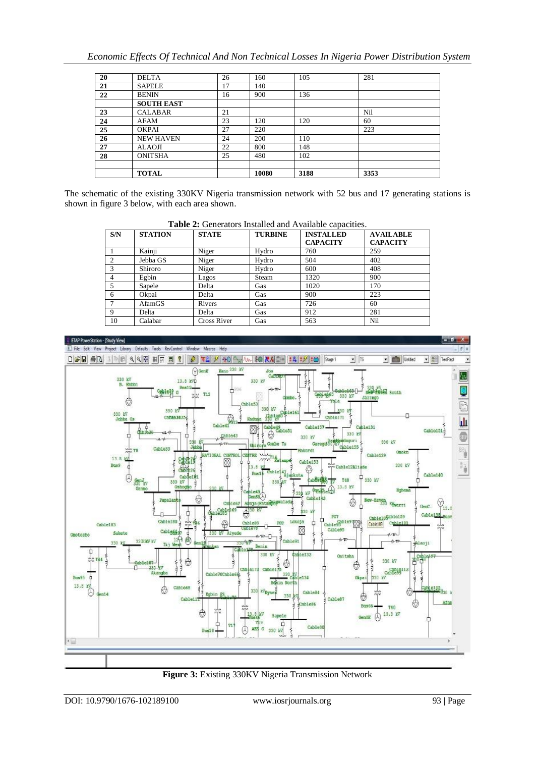| 20 | <b>DELTA</b>      | 26 | 160   | 105  | 281  |
|----|-------------------|----|-------|------|------|
| 21 | <b>SAPELE</b>     | 17 | 140   |      |      |
| 22 | <b>BENIN</b>      | 16 | 900   | 136  |      |
|    | <b>SOUTH EAST</b> |    |       |      |      |
| 23 | <b>CALABAR</b>    | 21 |       |      | Nil  |
| 24 | <b>AFAM</b>       | 23 | 120   | 120  | 60   |
| 25 | <b>OKPAI</b>      | 27 | 220   |      | 223  |
| 26 | <b>NEW HAVEN</b>  | 24 | 200   | 110  |      |
| 27 | ALAOJI            | 22 | 800   | 148  |      |
| 28 | <b>ONITSHA</b>    | 25 | 480   | 102  |      |
|    |                   |    |       |      |      |
|    | <b>TOTAL</b>      |    | 10080 | 3188 | 3353 |

The schematic of the existing 330KV Nigeria transmission network with 52 bus and 17 generating stations is shown in figure 3 below, with each area shown.

| S/N | <b>STATION</b> | <b>STATE</b>       | <b>TURBINE</b> | <b>INSTALLED</b><br><b>CAPACITY</b> | <b>AVAILABLE</b><br><b>CAPACITY</b> |
|-----|----------------|--------------------|----------------|-------------------------------------|-------------------------------------|
|     | Kainji         | Niger              | Hydro          | 760                                 | 259                                 |
| 2   | Jebba GS       | Niger              | Hydro          | 504                                 | 402                                 |
|     | Shiroro        | Niger              | Hydro          | 600                                 | 408                                 |
| 4   | Egbin          | Lagos              | Steam          | 1320                                | 900                                 |
|     | Sapele         | Delta              | Gas            | 1020                                | 170                                 |
| 6   | Okpai          | Delta              | Gas            | 900                                 | 223                                 |
|     | AfamGS         | Rivers             | Gas            | 726                                 | 60                                  |
| 9   | Delta          | Delta              | Gas            | 912                                 | 281                                 |
| 10  | Calabar        | <b>Cross River</b> | Gas            | 563                                 | Nil                                 |

**Table 2:** Generators Installed and Available capacities.



**Figure 3:** Existing 330KV Nigeria Transmission Network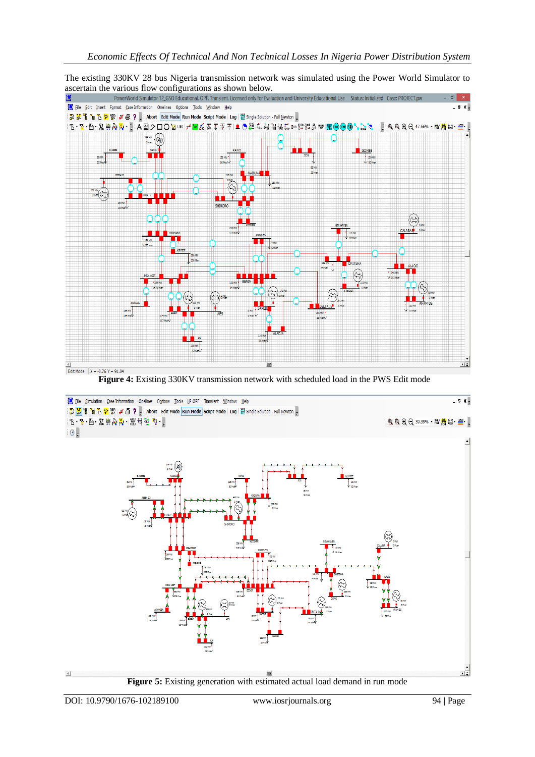The existing 330KV 28 bus Nigeria transmission network was simulated using the Power World Simulator to



 **Figure 4:** Existing 330KV transmission network with scheduled load in the PWS Edit mode

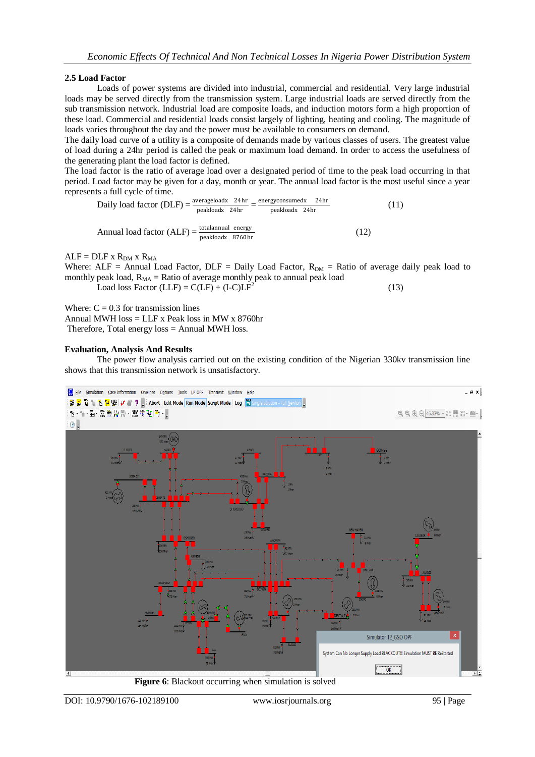## **2.5 Load Factor**

Loads of power systems are divided into industrial, commercial and residential. Very large industrial loads may be served directly from the transmission system. Large industrial loads are served directly from the sub transmission network. Industrial load are composite loads, and induction motors form a high proportion of these load. Commercial and residential loads consist largely of lighting, heating and cooling. The magnitude of loads varies throughout the day and the power must be available to consumers on demand.

The daily load curve of a utility is a composite of demands made by various classes of users. The greatest value of load during a 24hr period is called the peak or maximum load demand. In order to access the usefulness of the generating plant the load factor is defined.

The load factor is the ratio of average load over a designated period of time to the peak load occurring in that period. Load factor may be given for a day, month or year. The annual load factor is the most useful since a year represents a full cycle of time.

Daily load factor (DLF)  $=\frac{\text{averagedoadx} - 24\text{ hr}}{\text{aroted by } 24\text{ hr}} = \frac{\text{energyconsumedx} - 24\text{ hr}}{\text{arrelatedx} - 24\text{ hr}}$ peakloadx 24hr peakloadx (11) Annual load factor  $(ALF) = \frac{\text{totalannual energy}}{\text{peakloadx} + 8760 \text{ hr}}$ (12)

## $ALF = DLF \times R_{DM} \times R_{MA}$

Where:  $ALF =$  Annual Load Factor,  $DLF =$  Daily Load Factor,  $R_{DM} =$  Ratio of average daily peak load to monthly peak load,  $R_{MA}$  = Ratio of average monthly peak to annual peak load Load loss Factor (LLF) =  $C(LF) + (I-C)LF^2$ (13)

Where:  $C = 0.3$  for transmission lines

Annual MWH  $loss = LLF$  x Peak loss in MW x 8760hr Therefore, Total energy loss = Annual MWH loss.

## **Evaluation, Analysis And Results**

The power flow analysis carried out on the existing condition of the Nigerian 330kv transmission line shows that this transmission network is unsatisfactory.



 **Figure 6**: Blackout occurring when simulation is solved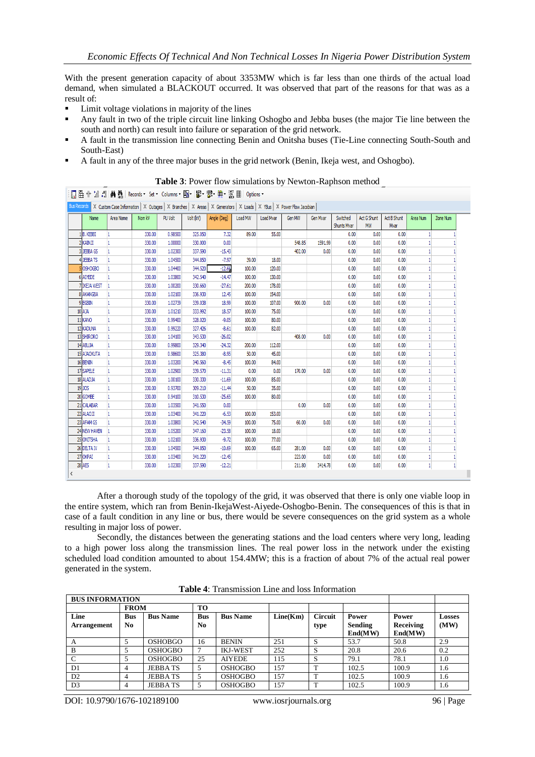With the present generation capacity of about 3353MW which is far less than one thirds of the actual load demand, when simulated a BLACKOUT occurred. It was observed that part of the reasons for that was as a result of:

- Limit voltage violations in majority of the lines
- Any fault in two of the triple circuit line linking Oshogbo and Jebba buses (the major Tie line between the south and north) can result into failure or separation of the grid network.
- A fault in the transmission line connecting Benin and Onitsha buses (Tie-Line connecting South-South and South-East)
- A fault in any of the three major buses in the grid network (Benin, Ikeja west, and Oshogbo).

|               |              |              | 圓監州協#8 A 蠱 Records,Set,Columns, 图 · 鬱 · 鬱 · 黨 · 鬻 · 1 ﷺ → 1 Options,                                                               |         |           |             |         |           |        |          |                                |                          |                     |          |          |
|---------------|--------------|--------------|------------------------------------------------------------------------------------------------------------------------------------|---------|-----------|-------------|---------|-----------|--------|----------|--------------------------------|--------------------------|---------------------|----------|----------|
|               |              |              | Eus Records X Custom Case Information   X Outages   X Branches   X Areas   X Generators   X Loads   X YBus   X Power Flow Jacobian |         |           |             |         |           |        |          |                                |                          |                     |          |          |
|               | Name         | Area Name    | Nom kV                                                                                                                             | PU Volt | Volt (kV) | Angle (Deg) | Load MW | Load Mvar | Gen MW | Gen Mvar | Switched<br><b>Shunts Mvar</b> | Act G Shunt<br><b>MW</b> | Act B Shunt<br>Mvar | Area Num | Zone Num |
|               | 1B. KEBBI    | 1            | 330.00                                                                                                                             | 0.98500 | 325.050   | 7.32        | 89.00   | 55.00     |        |          | 0.00                           | 0.00                     | 0.00                |          |          |
|               | 2 KAINJI     | h            | 330.00                                                                                                                             | 1.00000 | 330,000   | 0.00        |         |           | 548.85 | 1591.99  | 0.00                           | 0.00                     | 0.00                |          |          |
|               | 3 JEBBA GS   | 1            | 330.00                                                                                                                             | 1.02300 | 337.590   | $-15.43$    |         |           | 402.00 | 0.00     | 0.00                           | 0.00                     | 0.00                |          |          |
|               | 4 JEBBA TS   | 1            | 330.00                                                                                                                             | 1.04500 | 344.850   | $-7.97$     | 39.00   | 18.00     |        |          | 0.00                           | 0.00                     | 0.00                |          |          |
|               | 5 OSHOGBO    |              | 330.00                                                                                                                             | 1.04400 | 344.520   | $-12.66$    | 100.00  | 120.00    |        |          | 0.00                           | 0.00                     | 0.00                |          |          |
|               | 6 AIYEDE     | 1            | 330.00                                                                                                                             | 1.03800 | 342.540   | $-14.47$    | 100.00  | 130.00    |        |          | 0.00                           | 0.00                     | 0.00                |          |          |
|               | 7 IKEJA WEST | 1            | 330.00                                                                                                                             | 1.00200 | 330.660   | $-27.61$    | 200.00  | 178.00    |        |          | 0.00                           | 0.00                     | 0.00                |          |          |
|               | 8 AKANGBA    |              | 330.00                                                                                                                             | 1.02100 | 336,930   | 12.45       | 100.00  | 154.00    |        |          | 0.00                           | 0.00                     | 0.00                |          |          |
|               | 9 EGBIN      | ı            | 330.00                                                                                                                             | 1.02739 | 339.038   | 18.99       | 100.00  | 107.00    | 900.00 | 0.00     | 0.00                           | 0.00                     | 0.00                |          |          |
| $10$ $A$ $JA$ |              | 1            | 330.00                                                                                                                             | 1.01210 | 333,992   | 18.57       | 100.00  | 75.00     |        |          | 0.00                           | 0.00                     | 0.00                |          |          |
| 11 KANO       |              | 1            | 330.00                                                                                                                             | 0.99400 | 328.020   | $-9.05$     | 100.00  | 80.00     |        |          | 0.00                           | 0.00                     | 0.00                |          |          |
|               | 12 KADUNA    | 1            | 330.00                                                                                                                             | 0.99220 | 327.426   | $-8.61$     | 100.00  | 82.00     |        |          | 0.00                           | 0.00                     | 0.00                |          |          |
|               | 13 SHIRORO   | 1            | 330.00                                                                                                                             | 1.04100 | 343.530   | $-26.02$    |         |           | 408.00 | 0.00     | 0.00                           | 0.00                     | 0.00                |          |          |
|               | 14 ABUJA     | h            | 330.00                                                                                                                             | 0.99800 | 329.340   | $-24.32$    | 200.00  | 112.00    |        |          | 0.00                           | 0.00                     | 0.00                |          |          |
|               | 15 AJAOKUTA  | 1            | 330.00                                                                                                                             | 0.98600 | 325.380   | $-8.95$     | 50.00   | 45.00     |        |          | 0.00                           | 0.00                     | 0.00                |          |          |
| 16 BENIN      |              | 1            | 330.00                                                                                                                             | 1.03200 | 340.560   | $-8.45$     | 100.00  | 84.00     |        |          | 0.00                           | 0.00                     | 0.00                |          |          |
|               | 17 SAPELE    | 1            | 330.00                                                                                                                             | 1.02900 | 339.570   | $-11.31$    | 0.00    | 0.00      | 170.00 | 0.00     | 0.00                           | 0.00                     | 0.00                |          |          |
|               | 18 ALADJA    | 1            | 330.00                                                                                                                             | 1.00100 | 330.330   | $-11.69$    | 100.00  | 85.00     |        |          | 0.00                           | 0.00                     | 0.00                |          |          |
| 19 JOS        |              |              | 330.00                                                                                                                             | 0.93700 | 309.210   | $-11.44$    | 50.00   | 35.00     |        |          | 0.00                           | 0.00                     | 0.00                |          |          |
|               | 20 GOMBE     | ı            | 330.00                                                                                                                             | 0.94100 | 310.530   | $-25.65$    | 100.00  | 80.00     |        |          | 0.00                           | 0.00                     | 0.00                |          |          |
|               | 21 CALABAR   | 1            | 330.00                                                                                                                             | 1.03500 | 341.550   | 0.00        |         |           | 0.00   | 0.00     | 0.00                           | 0.00                     | 0.00                |          |          |
|               | 22 ALAOJI    | 1            | 330.00                                                                                                                             | 1.03400 | 341.220   | $-6.53$     | 100.00  | 153.00    |        |          | 0.00                           | 0.00                     | 0.00                |          |          |
|               | 23 AFAM GS   | h            | 330.00                                                                                                                             | 1.03800 | 342.540   | $-34.59$    | 100.00  | 75.00     | 60.00  | 0.00     | 0.00                           | 0.00                     | 0.00                |          |          |
|               | 24 NEW HAVEN | ı            | 330.00                                                                                                                             | 1.05200 | 347.160   | $-23.58$    | 100.00  | 18.00     |        |          | 0.00                           | 0.00                     | 0.00                |          |          |
|               | 25 ONITSHA   | 1            | 330.00                                                                                                                             | 1.02100 | 336.930   | $-9.72$     | 100.00  | 77.00     |        |          | 0.00                           | 0.00                     | 0.00                |          |          |
|               | 26 DELTA IV  | ı            | 330.00                                                                                                                             | 1.04500 | 344.850   | $-10.69$    | 100.00  | 65.00     | 281.00 | 0.00     | 0.00                           | 0.00                     | 0.00                |          |          |
|               | 27 OKPAI     | 1            | 330.00                                                                                                                             | 1.03400 | 341.220   | $-12.45$    |         |           | 223.00 | 0.00     | 0.00                           | 0.00                     | 0.00                |          |          |
| 28 AES        |              | $\mathbf{1}$ | 330.00                                                                                                                             | 1.02300 | 337.590   | $-12.21$    |         |           | 211.80 | 3414.78  | 0.00                           |                          | 0.00                |          |          |
|               |              |              |                                                                                                                                    |         |           |             |         |           |        |          |                                |                          |                     | 0.00     |          |

**Table 3**: Power flow simulations by Newton-Raphson method

After a thorough study of the topology of the grid, it was observed that there is only one viable loop in the entire system, which ran from Benin-IkejaWest-Aiyede-Oshogbo-Benin. The consequences of this is that in case of a fault condition in any line or bus, there would be severe consequences on the grid system as a whole resulting in major loss of power.

Secondly, the distances between the generating stations and the load centers where very long, leading to a high power loss along the transmission lines. The real power loss in the network under the existing scheduled load condition amounted to about 154.4MW; this is a fraction of about 7% of the actual real power generated in the system.

|                    | <b>BUS INFORMATION</b> |                 |                |                 |          |                |         |           |               |  |  |  |  |
|--------------------|------------------------|-----------------|----------------|-----------------|----------|----------------|---------|-----------|---------------|--|--|--|--|
|                    | <b>FROM</b>            |                 | <b>TO</b>      |                 |          |                |         |           |               |  |  |  |  |
| Line               | <b>Bus</b>             | <b>Bus Name</b> | <b>Bus</b>     | <b>Bus Name</b> | Line(Km) | <b>Circuit</b> | Power   | Power     | <b>Losses</b> |  |  |  |  |
| <b>Arrangement</b> | N <sub>0</sub>         |                 | N <sub>0</sub> |                 |          | type           | Sending | Receiving | (MW)          |  |  |  |  |
|                    |                        |                 |                |                 |          |                | End(MW) | End(MW)   |               |  |  |  |  |
| А                  |                        | <b>OSHOBGO</b>  | 16             | <b>BENIN</b>    | 251      | S              | 53.7    | 50.8      | 2.9           |  |  |  |  |
| R                  |                        | <b>OSHOGBO</b>  |                | <b>IKJ-WEST</b> | 252      | S              | 20.8    | 20.6      | 0.2           |  |  |  |  |
|                    |                        | <b>OSHOGBO</b>  | 25             | <b>AIYEDE</b>   | 115      | S              | 79.1    | 78.1      | 1.0           |  |  |  |  |
| D1                 |                        | <b>JEBBATS</b>  | 5              | <b>OSHOGBO</b>  | 157      | т              | 102.5   | 100.9     | 1.6           |  |  |  |  |
| D <sub>2</sub>     | 4                      | <b>JEBBATS</b>  | 5              | <b>OSHOGBO</b>  | 157      | т              | 102.5   | 100.9     | 1.6           |  |  |  |  |
| D <sub>3</sub>     |                        | <b>JEBBATS</b>  | 5              | <b>OSHOGBO</b>  | 157      | т              | 102.5   | 100.9     | 1.6           |  |  |  |  |

**Table 4**: Transmission Line and loss Information

DOI: 10.9790/1676-102189100 www.iosrjournals.org 96 | Page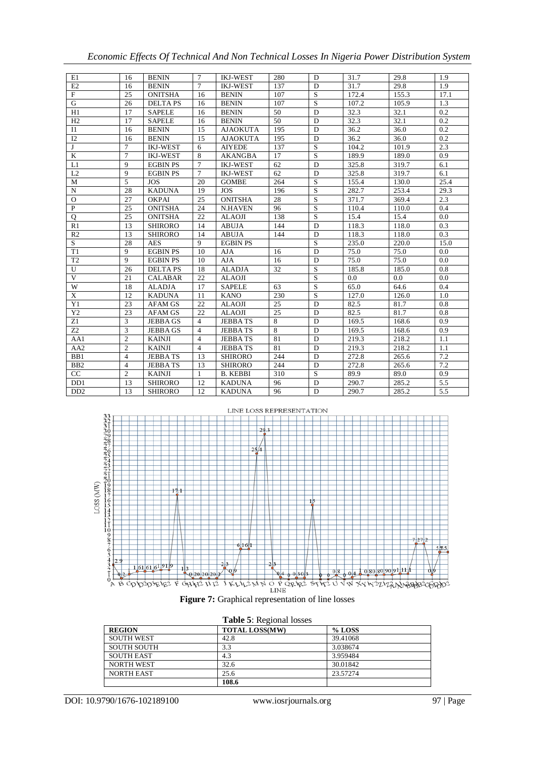| E1                          | 16             | <b>BENIN</b>    | $7\phantom{.0}$ | <b>IKJ-WEST</b> | 280 | D | 31.7  | 29.8  | 1.9  |
|-----------------------------|----------------|-----------------|-----------------|-----------------|-----|---|-------|-------|------|
| E2                          | 16             | <b>BENIN</b>    | $\tau$          | <b>IKJ-WEST</b> | 137 | D | 31.7  | 29.8  | 1.9  |
| $\mathbf F$                 | 25             | <b>ONITSHA</b>  | 16              | <b>BENIN</b>    | 107 | S | 172.4 | 155.3 | 17.1 |
| $\overline{G}$              | 26             | <b>DELTAPS</b>  | 16              | <b>BENIN</b>    | 107 | S | 107.2 | 105.9 | 1.3  |
| H1                          | 17             | <b>SAPELE</b>   | 16              | <b>BENIN</b>    | 50  | D | 32.3  | 32.1  | 0.2  |
| H2                          | 17             | <b>SAPELE</b>   | 16              | <b>BENIN</b>    | 50  | D | 32.3  | 32.1  | 0.2  |
| I <sub>1</sub>              | 16             | <b>BENIN</b>    | 15              | <b>AJAOKUTA</b> | 195 | D | 36.2  | 36.0  | 0.2  |
| I2                          | 16             | <b>BENIN</b>    | 15              | <b>AJAOKUTA</b> | 195 | D | 36.2  | 36.0  | 0.2  |
| J                           | $\overline{7}$ | <b>IKJ-WEST</b> | 6               | <b>AIYEDE</b>   | 137 | S | 104.2 | 101.9 | 2.3  |
| K                           | $\overline{7}$ | <b>IKJ-WEST</b> | 8               | <b>AKANGBA</b>  | 17  | S | 189.9 | 189.0 | 0.9  |
| L1                          | 9              | <b>EGBIN PS</b> | $\overline{7}$  | <b>IKJ-WEST</b> | 62  | D | 325.8 | 319.7 | 6.1  |
| L2                          | 9              | <b>EGBIN PS</b> | $\overline{7}$  | <b>IKJ-WEST</b> | 62  | D | 325.8 | 319.7 | 6.1  |
| M                           | 5              | <b>JOS</b>      | 20              | <b>GOMBE</b>    | 264 | S | 155.4 | 130.0 | 25.4 |
| $\mathbf N$                 | 28             | <b>KADUNA</b>   | 19              | <b>JOS</b>      | 196 | S | 282.7 | 253.4 | 29.3 |
| $\Omega$                    | 27             | <b>OKPAI</b>    | 25              | <b>ONITSHA</b>  | 28  | S | 371.7 | 369.4 | 2.3  |
| P                           | 25             | <b>ONITSHA</b>  | 24              | <b>N.HAVEN</b>  | 96  | S | 110.4 | 110.0 | 0.4  |
| $\mathbf{O}$                | 25             | <b>ONITSHA</b>  | 22              | <b>ALAOJI</b>   | 138 | S | 15.4  | 15.4  | 0.0  |
| R1                          | 13             | <b>SHIRORO</b>  | 14              | <b>ABUJA</b>    | 144 | D | 118.3 | 118.0 | 0.3  |
| R2                          | 13             | <b>SHIRORO</b>  | 14              | <b>ABUJA</b>    | 144 | D | 118.3 | 118.0 | 0.3  |
| S                           | 28             | <b>AES</b>      | 9               | <b>EGBIN PS</b> |     | S | 235.0 | 220.0 | 15.0 |
| T1                          | 9              | <b>EGBIN PS</b> | 10              | <b>AJA</b>      | 16  | D | 75.0  | 75.0  | 0.0  |
| T <sub>2</sub>              | $\mathbf Q$    | <b>EGBIN PS</b> | 10              | <b>AJA</b>      | 16  | D | 75.0  | 75.0  | 0.0  |
| U                           | 26             | <b>DELTAPS</b>  | 18              | <b>ALADJA</b>   | 32  | S | 185.8 | 185.0 | 0.8  |
| V                           | 21             | <b>CALABAR</b>  | 22              | <b>ALAOJI</b>   |     | S | 0.0   | 0.0   | 0.0  |
| W                           | 18             | <b>ALADJA</b>   | 17              | <b>SAPELE</b>   | 63  | S | 65.0  | 64.6  | 0.4  |
| X                           | 12             | <b>KADUNA</b>   | 11              | <b>KANO</b>     | 230 | S | 127.0 | 126.0 | 1.0  |
| Y1                          | 23             | <b>AFAM GS</b>  | 22              | <b>ALAOJI</b>   | 25  | D | 82.5  | 81.7  | 0.8  |
| Y2                          | 23             | <b>AFAM GS</b>  | 22              | <b>ALAOJI</b>   | 25  | D | 82.5  | 81.7  | 0.8  |
| Z1                          | 3              | <b>JEBBAGS</b>  | $\overline{4}$  | <b>JEBBATS</b>  | 8   | D | 169.5 | 168.6 | 0.9  |
| Z <sub>2</sub>              | 3              | <b>JEBBAGS</b>  | $\overline{4}$  | <b>JEBBATS</b>  | 8   | D | 169.5 | 168.6 | 0.9  |
| AA1                         | $\overline{2}$ | <b>KAINJI</b>   | $\overline{4}$  | <b>JEBBATS</b>  | 81  | D | 219.3 | 218.2 | 1.1  |
| AA <sub>2</sub>             | $\overline{2}$ | <b>KAINJI</b>   | $\overline{4}$  | <b>JEBBATS</b>  | 81  | D | 219.3 | 218.2 | 1.1  |
| BB1                         | $\overline{4}$ | <b>JEBBATS</b>  | 13              | <b>SHIRORO</b>  | 244 | D | 272.8 | 265.6 | 7.2  |
| B <sub>B2</sub>             | $\overline{4}$ | <b>JEBBATS</b>  | 13              | <b>SHIRORO</b>  | 244 | D | 272.8 | 265.6 | 7.2  |
| CC                          | $\overline{2}$ | <b>KAINJI</b>   | 1               | <b>B. KEBBI</b> | 310 | S | 89.9  | 89.0  | 0.9  |
| D <sub>D</sub> 1            | 13             | <b>SHIRORO</b>  | 12              | <b>KADUNA</b>   | 96  | D | 290.7 | 285.2 | 5.5  |
| D <sub>D</sub> <sub>2</sub> | 13             | <b>SHIRORO</b>  | 12              | <b>KADUNA</b>   | 96  | D | 290.7 | 285.2 | 5.5  |

*Economic Effects Of Technical And Non Technical Losses In Nigeria Power Distribution System*





|                    | <b>Table 5:</b> Regional losses |          |  |  |  |  |  |  |  |  |
|--------------------|---------------------------------|----------|--|--|--|--|--|--|--|--|
| <b>REGION</b>      | <b>TOTAL LOSS(MW)</b>           | $%$ LOSS |  |  |  |  |  |  |  |  |
| SOUTH WEST         | 42.8                            | 39.41068 |  |  |  |  |  |  |  |  |
| <b>SOUTH SOUTH</b> | 3.3                             | 3.038674 |  |  |  |  |  |  |  |  |
| SOUTH EAST         | 4.3                             | 3.959484 |  |  |  |  |  |  |  |  |
| <b>NORTH WEST</b>  | 32.6                            | 30.01842 |  |  |  |  |  |  |  |  |
| <b>NORTH EAST</b>  | 25.6                            | 23.57274 |  |  |  |  |  |  |  |  |
|                    | 108.6                           |          |  |  |  |  |  |  |  |  |

| Table 5: Regional losses |  |
|--------------------------|--|
|--------------------------|--|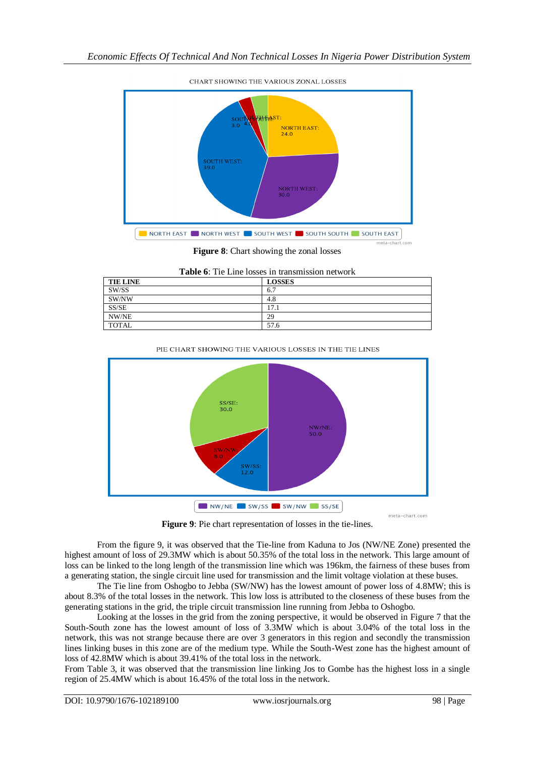

CHART SHOWING THE VARIOUS ZONAL LOSSES

**Figure 8**: Chart showing the zonal losses

**Table 6**: Tie Line losses in transmission network

| <b>TIE LINE</b> | <b>LOSSES</b> |
|-----------------|---------------|
| SW/SS           | 6.7           |
| SW/NW           | 4.8           |
| SS/SE           | 17.1          |
| NW/NE           | 29            |
| <b>TOTAL</b>    | 57.6          |



NW/NE SW/SS SW/NW SS/SE **Figure 9**: Pie chart representation of losses in the tie-lines.

From the figure 9, it was observed that the Tie-line from Kaduna to Jos (NW/NE Zone) presented the highest amount of loss of 29.3MW which is about 50.35% of the total loss in the network. This large amount of loss can be linked to the long length of the transmission line which was 196km, the fairness of these buses from a generating station, the single circuit line used for transmission and the limit voltage violation at these buses.

The Tie line from Oshogbo to Jebba (SW/NW) has the lowest amount of power loss of 4.8MW; this is about 8.3% of the total losses in the network. This low loss is attributed to the closeness of these buses from the generating stations in the grid, the triple circuit transmission line running from Jebba to Oshogbo.

Looking at the losses in the grid from the zoning perspective, it would be observed in Figure 7 that the South-South zone has the lowest amount of loss of 3.3MW which is about 3.04% of the total loss in the network, this was not strange because there are over 3 generators in this region and secondly the transmission lines linking buses in this zone are of the medium type. While the South-West zone has the highest amount of loss of 42.8MW which is about 39.41% of the total loss in the network.

From Table 3, it was observed that the transmission line linking Jos to Gombe has the highest loss in a single region of 25.4MW which is about 16.45% of the total loss in the network.

meta-chart.com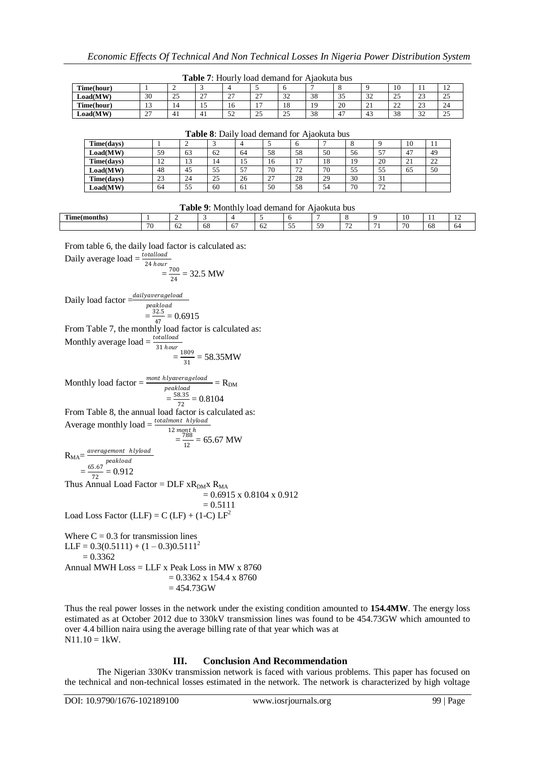| <b>Table 7:</b> Hourly load demand for Ajaokuta bus |              |     |                    |                      |                            |             |    |    |    |             |                      |                |
|-----------------------------------------------------|--------------|-----|--------------------|----------------------|----------------------------|-------------|----|----|----|-------------|----------------------|----------------|
| Time(hour)                                          |              |     |                    |                      |                            |             |    |    |    | 10          |                      | $\overline{1}$ |
| <b>Load(MW)</b>                                     | 30           | ر ے | $\sim$<br><u>.</u> | $\sim$<br><u>، ب</u> | $\mathcal{L}$<br><u>.</u>  | 32<br>ے ر   | 38 |    | 32 | 25          | $\mathcal{L}$<br>ں ک | 25             |
| Time(hour)                                          | $\sim$<br>13 | 14  | 10                 | 16                   |                            | 18          | 19 | 20 | 21 | $\cap$<br>∸ | 23                   | 24             |
| Load(MW)                                            | 27           | 41  | 41                 | 52                   | $\Delta$ $\epsilon$<br>ل ک | $\sim$<br>ت | 38 | 4. | 43 | 38          | $\sim$<br>32         | 25             |

| <b>Table 8:</b> Daily load demand for Ajaokuta bus |    |    |    |     |    |    |    |    |    |                |    |  |
|----------------------------------------------------|----|----|----|-----|----|----|----|----|----|----------------|----|--|
| Time(days)                                         |    |    |    |     |    |    |    |    |    | 10             | 11 |  |
| Load(MW)                                           | 59 | 63 | 62 | 64  | 58 | 58 | 50 | 56 |    | 47             | 49 |  |
| Time(days)                                         | 12 | 13 | 14 | 15  | 16 |    | 18 | 19 | 20 | 2 <sub>1</sub> | 22 |  |
| Load(MW)                                           | 48 | 45 | 55 | .57 | 70 | 72 | 70 | 55 | 55 | 65             | 50 |  |
| Time(days)                                         | 23 | 24 | 25 | 26  | 27 | 28 | 29 | 30 | 31 |                |    |  |
| Load(MW)                                           | 64 | 55 | 60 | 61  | 50 | 58 | 54 | 70 | 72 |                |    |  |

| $\sim$<br>$\overline{\phantom{0}}$<br>$\overline{\phantom{a}}$<br>$\sim$<br>- -<br>$\sim$<br>- - | mme.<br>Time'<br>a mont |    |    |     |    |   |  | . . |    |  |
|--------------------------------------------------------------------------------------------------|-------------------------|----|----|-----|----|---|--|-----|----|--|
|                                                                                                  |                         | V. | oð | . . | ν4 | ◡ |  |     | 68 |  |

From table 6, the daily load factor is calculated as:

Daily average load  $=\frac{totalload}{24 \; hour}$ 

$$
100u = \frac{700}{24} = 32.5 \text{ MW}
$$

Daily load factor  $=\frac{daily average load}{peak load}$ 

$$
= \frac{32.5}{47} = 0.6915
$$

47 From Table 7, the monthly load factor is calculated as: Monthly average load  $=$   $\frac{totalload}{31 hour}$ 

$$
= \frac{1809}{31} = 58.35 \text{MW}
$$

Monthly load factor  $=$   $\frac{mont \; hlyaverageload}{meshled} = R_{DM}$ peakload  $=\frac{58.35}{72}$  $\frac{0.33}{72}$  = 0.8104 From Table 8, the annual load factor is calculated as: Average monthly  $load = \frac{total \text{ mod } 18 \text{ cm}}{10}$ 12 mont h  $=\frac{788}{12}$  $\frac{788}{12}$  = 65.67 MW  $R_{MA} = \frac{averagemont \; hlyload}{\text{meal}}$ 

peakload  $=\frac{65.67}{72}$  $\frac{3.87}{72}$  = 0.912 Thus Annual Load Factor =  $DLF$   $xR<sub>DM</sub>x$   $R<sub>MA</sub>$  $= 0.6915 \times 0.8104 \times 0.912$  $= 0.5111$ Load Loss Factor (LLF) =  $C$  (LF) + (1-C) LF<sup>2</sup>

Where  $C = 0.3$  for transmission lines LLF =  $0.3(0.5111) + (1 - 0.3)0.5111^2$  $= 0.3362$ Annual MWH  $Loss = LLF$  x Peak Loss in MW x 8760  $= 0.3362 \times 154.4 \times 8760$  $= 454.73$ GW

Thus the real power losses in the network under the existing condition amounted to **154.4MW**. The energy loss estimated as at October 2012 due to 330kV transmission lines was found to be 454.73GW which amounted to over 4.4 billion naira using the average billing rate of that year which was at  $N11.10 = 1$  kW.

## **III. Conclusion And Recommendation**

The Nigerian 330Kv transmission network is faced with various problems. This paper has focused on the technical and non-technical losses estimated in the network. The network is characterized by high voltage